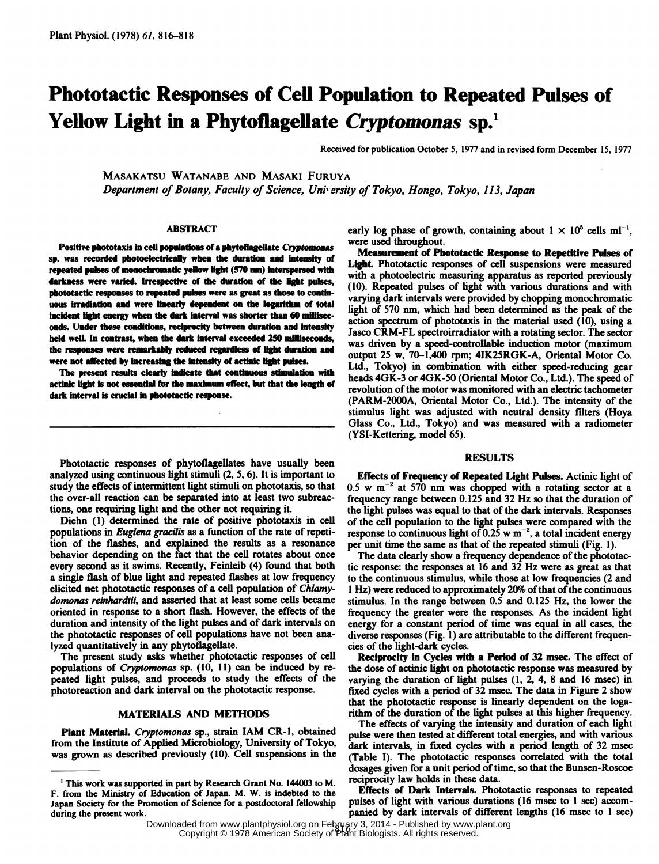# Phototactic Responses of Cell Population to Repeated Pulses of Yellow Light in a Phytoflagellate Cryptomonas sp.'

Received for publication October 5, 1977 and in revised form December 15, 1977

MASAKATSU WATANABE AND MASAKI FURUYA Department of Botany, Faculty of Science, University of Tokyo, Hongo, Tokyo, 113, Japan

#### ABSTRACT

Positive phototaxis in cell populations of a phytoflagellate Cryptomonas sp. was recorded photoelectrically when the duration and intensity of repeated pulses of monochromatic yellow light (570 nm) interspersed with darkness were varied. Irrespective of the duration of the light pulses, phototactic responses to repeated pulses were as great as those to continuous irradiation and were linearly dependent on the logarithm of total incident light energy when the dark interval was shorter than 60 milliseconds. Under these conditions, reciprocity between duration and intensity held well. In contrast, when the dark interval exceeded 250 milliseconds, the responses were remarkably reduced regardless of light duration and were not affected by increasing the intensity of actinic light pulses.

The present results clearly indicate that continuous stimulation with actinic light is not essential for the maximum effect, but that the length of dark interval is crucial in pbototactic response.

Phototactic responses of phytoflagellates have usually been analyzed using continuous light stimuli (2, 5, 6). It is important to study the effects of intermittent light stimuli on phototaxis, so that the over-all reaction can be separated into at least two subreactions, one requiring light and the other not requiring it.

Diehn (1) determined the rate of positive phototaxis in cell populations in Euglena gracilis as a function of the rate of repetition of the flashes, and explained the results as a resonance behavior depending on the fact that the cell rotates about once every second as it swims. Recently, Feinleib (4) found that both a single flash of blue light and repeated flashes at low frequency elicited net phototactic responses of a cell population of Chiamydomonas reinhardtii, and asserted that at least some cells became oriented in response to a short flash. However, the effects of the duration and intensity of the light pulses and of dark intervals on the phototactic responses of cell populations have not been analyzed quantitatively in any phytoflagellate.

The present study asks whether phototactic responses of cell populations of Cryptomonas sp. (10, 11) can be induced by repeated light pulses, and proceeds to study the effects of the photoreaction and dark interval on the phototactic response.

## MATERIALS AND METHODS

Plant Material. Cryptomonas sp., strain IAM CR-1, obtained from the Institute of Applied Microbiology, University of Tokyo, was grown as described previously (10). Cell suspensions in the early log phase of growth, containing about  $1 \times 10^5$  cells ml<sup>-1</sup>, were used throughout.

Measuremet of Phototactic Response to Repetitive Pulses of Light. Phototactic responses of cell suspensions were measured with a photoelectric measuring apparatus as reported previously (10). Repeated pulses of light with various durations and with varying dark intervals were provided by chopping monochromatic light of 570 nm, which had been determined as the peak of the action spectrum of phototaxis in the material used  $(10)$ , using a Jasco CRM-FL spectroirradiator with a rotating sector. The sector was driven by a speed-controllable induction motor (maximum output 25 w, 70-1,400 rpm; 4IK25RGK-A, Oriental Motor Co. Ltd., Tokyo) in combination with either speed-reducing gear heads 4GK-3 or 4GK-50 (Oriental Motor Co., Ltd.). The speed of revolution of the motor was monitored with an electric tachometer (PARM-2000A, Oriental Motor Co., Ltd.). The intensity of the stimulus light was adjusted with neutral density filters (Hoya Glass Co., Ltd., Tokyo) and was measured with a radiometer (YSI-Kettering, model 65).

#### RESULTS

Effects of Frequency of Repeated Light Pulses. Actinic light of  $0.5 \text{ w m}^{-2}$  at 570 nm was chopped with a rotating sector at a frequency range between 0.125 and 32 Hz so that the duration of the light pulses was equal to that of the dark intervals. Responses of the cell population to the light pulses were compared with the response to continuous light of  $0.25 \text{ w m}^{-2}$ , a total incident energy per unit time the same as that of the repeated stimuli (Fig. 1).

The data clearly show a frequency dependence of the phototactic response: the responses at 16 and 32 Hz were as great as that to the continuous stimulus, while those at low frequencies (2 and 1 Hz) were reduced to approximately 20% of that of the continuous stimulus. In the range between 0.5 and 0.125 Hz, the lower the frequency the greater were the responses. As the incident light energy for a constant period of time was equal in all cases, the diverse responses (Fig. 1) are attributable to the different frequencies of the light-dark cycles.

Reciprocity in Cycles with a Period of 32 msec. The effect of the dose of actinic light on phototactic response was measured by varying the duration of light pulses (1, 2, 4, 8 and 16 msec) in fixed cycles with a period of 32 msec. The data in Figure 2 show that the phototactic response is linearly dependent on the logarithm of the duration of the light pulses at this higher frequency.

The effects of varying the intensity and duration of each light pulse were then tested at different total energies, and with various dark intervals, in fixed cycles with a period length of 32 msec (Table I). The phototactic responses correlated with the total dosages given for a unit period of time, so that the Bunsen-Roscoe [reciprocity](http://www.plantphysiol.org/) law holds in these data.

Effects of Dark Intervals. Phototactic responses to repeated pulses of light with various durations (16 msec to <sup>1</sup> sec) accompanied by dark intervals of different lengths (16 msec to <sup>1</sup> sec)

Downloaded from [www.plantphysiol.org](http://www.plantphysiol.org/) on February 3, 2014 - Published by [www.plant.org](http://www.plant.org)<br>Copyright © 1978 American Society of Plant Biologists. All rights reserved.

<sup>&#</sup>x27;This work was supported in part by Research Grant No. 144003 to M. F. from the Ministry of Education of Japan. M. W. is indebted to the Japan Society for the Promotion of Science for a postdoctoral fellowship during the present work.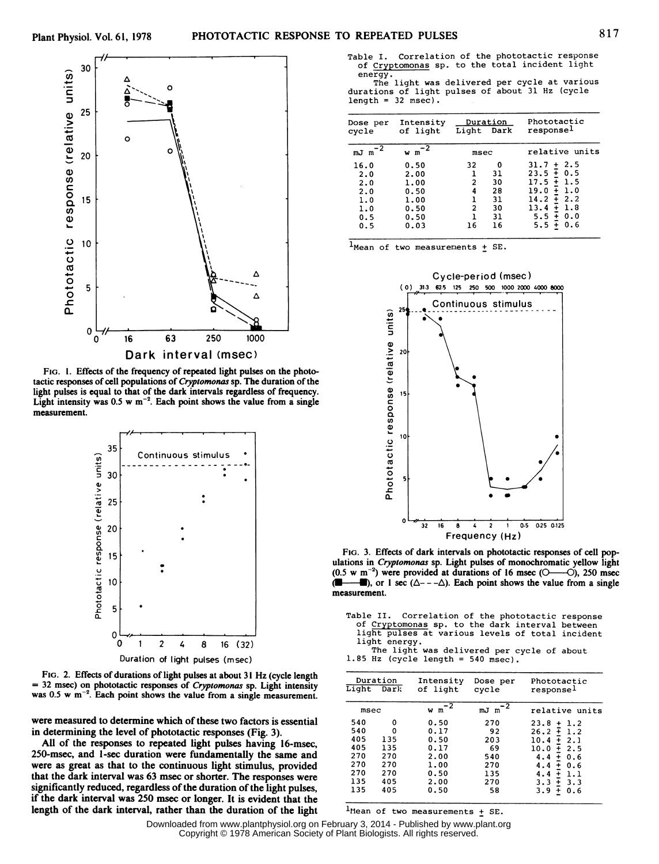

FIG. 1. Effects of the frequency of repeated light pulses on the phototactic responses of cell populations of Cryptomonas sp. The duration of the light pulses is equal to that of the dark intervals regardless of frequency. Light intensity was  $0.5 \text{ w m}^{-2}$ . Each point shows the value from a single measurement.



FIG. 2. Effects of durations of light pulses at about 31 Hz (cycle length = 32 msec) on phototactic responses of *Cryptomonas* sp. Light intensity was  $0.5 \text{ w m}^{-2}$ . Each point shows the value from a single measurement.

were measured to determine which of these two factors is essential in determining the level of phototactic responses (Fig. 3).

All of the responses to repeated light pulses having 16-msec, 250-msec, and 1-sec duration were fundamentally the same and were as great as that to the continuous light stimulus, provided that the dark interval was 63 msec or shorter. The responses were significantly reduced, regardless of the duration of the light pulses, if the dark interval was 250 msec or longer. It is evident that the length of the dark interval, rather than the duration of the light

The light was delivered per cycle at various durations of light pulses of about 31 Hz (cycle  $length = 32$  msec).

| Dose per<br>cycle                                     | Intensity<br>of light                                        | Duration<br>Light<br>Dark    |                                             | Phototactic<br>response <sup>1</sup>                                                                                                                                       |
|-------------------------------------------------------|--------------------------------------------------------------|------------------------------|---------------------------------------------|----------------------------------------------------------------------------------------------------------------------------------------------------------------------------|
| $-2$<br>mJ<br>m                                       | $-\overline{2}$<br>w<br>m                                    | msec                         |                                             | relative units                                                                                                                                                             |
| 16.0<br>2.0<br>2.0<br>2.0<br>1.0<br>1.0<br>0.5<br>0.5 | 0.50<br>2.00<br>1.00<br>0.50<br>1.00<br>0.50<br>0.50<br>0.03 | 32<br>2<br>4<br>2<br>ı<br>16 | 0<br>31<br>30<br>28<br>31<br>30<br>31<br>16 | $+2.5$<br>31.7<br>$23.5 +$<br>0.5<br>17.5<br>1.5<br>$\ddot{}$<br>19.0<br>1.0<br>÷<br>14.2<br>2.2<br>÷<br>13.4<br>1.8<br>5.5<br>0.0<br>$\ddot{}$<br>5.5<br>0.6<br>$\ddot{}$ |

 $\frac{1}{2}$ Mean of two measurements  $\pm$  SE.



FIG. 3. Effects of dark intervals on phototactic responses of cell populations in Cryptomonas sp. Light pulses of monochromatic yellow light  $(0.5 \text{ w m}^{-2})$  were provided at durations of 16 msec ( $O$ — $O$ ), 250 msec  $\blacksquare$ ), or 1 sec ( $\triangle$ -- $\triangle$ ). Each point shows the value from a single  $\bullet$ measurement.

Table II. Correlation of the phototactic response of Cryptomonas sp. to the dark interval between light pulses at various levels of total incident light energy.

The light was delivered per cycle of about  $1.85$  Hz (cycle length = 540 msec).

| Light                                                       | Duration<br>Dark                                        | Intensity<br>of light                                                | Dose per<br>cycle                                        | Phototactic<br>response <sup>1</sup>                                                                                                                                                                |
|-------------------------------------------------------------|---------------------------------------------------------|----------------------------------------------------------------------|----------------------------------------------------------|-----------------------------------------------------------------------------------------------------------------------------------------------------------------------------------------------------|
| msec                                                        |                                                         | -2<br>w<br>m                                                         | $-2$<br>mJ m                                             | relative units                                                                                                                                                                                      |
| 540<br>540<br>405<br>405<br>270<br>270<br>270<br>135<br>135 | 0<br>0<br>135<br>135<br>270<br>270<br>270<br>405<br>405 | 0.50<br>0.17<br>0.50<br>0.17<br>2.00<br>1.00<br>0.50<br>2.00<br>0.50 | 270<br>92<br>203<br>69<br>540<br>270<br>135<br>270<br>58 | 23.8<br>1.2<br>$\ddot{}$<br>26.2<br>1.2<br>$\ddot{}$<br>10.4<br>2.1<br>+<br>10.0<br>2.5<br>$\ddot{}$<br>4.4<br>0.6<br>+<br>4.4<br>0.6<br>+<br>4.4<br>1.1<br>+<br>3.3<br>3.3<br>٠<br>3.9<br>0.6<br>+ |

<sup>1</sup>Mean of two measurements  $\pm$  SE.

Downloaded from www.plantphysiol.org on February 3, 2014 - Published by www.plant.org Copyright © 1978 American Society of Plant Biologists. All rights reserved.